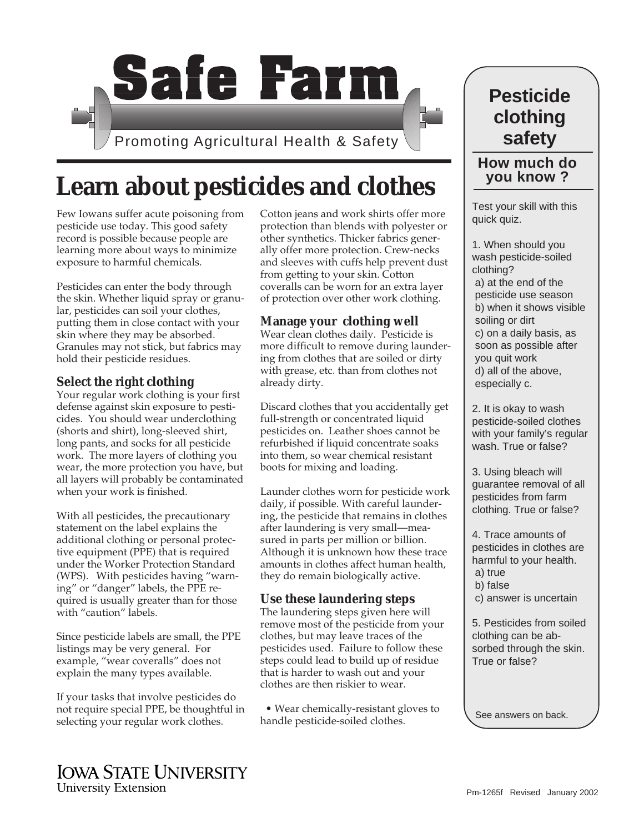

# **Learn about pesticides and clothes**

Few Iowans suffer acute poisoning from pesticide use today. This good safety record is possible because people are learning more about ways to minimize exposure to harmful chemicals.

Pesticides can enter the body through the skin. Whether liquid spray or granular, pesticides can soil your clothes, putting them in close contact with your skin where they may be absorbed. Granules may not stick, but fabrics may hold their pesticide residues.

#### **Select the right clothing**

Your regular work clothing is your first defense against skin exposure to pesticides. You should wear underclothing (shorts and shirt), long-sleeved shirt, long pants, and socks for all pesticide work. The more layers of clothing you wear, the more protection you have, but all layers will probably be contaminated when your work is finished.

With all pesticides, the precautionary statement on the label explains the additional clothing or personal protective equipment (PPE) that is required under the Worker Protection Standard (WPS). With pesticides having "warning" or "danger" labels, the PPE required is usually greater than for those with "caution" labels.

Since pesticide labels are small, the PPE listings may be very general. For example, "wear coveralls" does not explain the many types available.

If your tasks that involve pesticides do not require special PPE, be thoughtful in selecting your regular work clothes.

Cotton jeans and work shirts offer more protection than blends with polyester or other synthetics. Thicker fabrics generally offer more protection. Crew-necks and sleeves with cuffs help prevent dust from getting to your skin. Cotton coveralls can be worn for an extra layer of protection over other work clothing.

## **Manage your clothing well**

Wear clean clothes daily. Pesticide is more difficult to remove during laundering from clothes that are soiled or dirty with grease, etc. than from clothes not already dirty.

Discard clothes that you accidentally get full-strength or concentrated liquid pesticides on. Leather shoes cannot be refurbished if liquid concentrate soaks into them, so wear chemical resistant boots for mixing and loading.

Launder clothes worn for pesticide work daily, if possible. With careful laundering, the pesticide that remains in clothes after laundering is very small—measured in parts per million or billion. Although it is unknown how these trace amounts in clothes affect human health, they do remain biologically active.

## **Use these laundering steps**

The laundering steps given here will remove most of the pesticide from your clothes, but may leave traces of the pesticides used. Failure to follow these steps could lead to build up of residue that is harder to wash out and your clothes are then riskier to wear.

 • Wear chemically-resistant gloves to handle pesticide-soiled clothes.

# **Pesticide clothing safety**

# **How much do you know ?**

Test your skill with this quick quiz.

1. When should you wash pesticide-soiled clothing? a) at the end of the pesticide use season b) when it shows visible soiling or dirt c) on a daily basis, as soon as possible after you quit work d) all of the above, especially c.

2. It is okay to wash pesticide-soiled clothes with your family's regular wash. True or false?

3. Using bleach will guarantee removal of all pesticides from farm clothing. True or false?

4. Trace amounts of pesticides in clothes are harmful to your health. a) true b) false c) answer is uncertain

5. Pesticides from soiled clothing can be absorbed through the skin. True or false?

See answers on back.